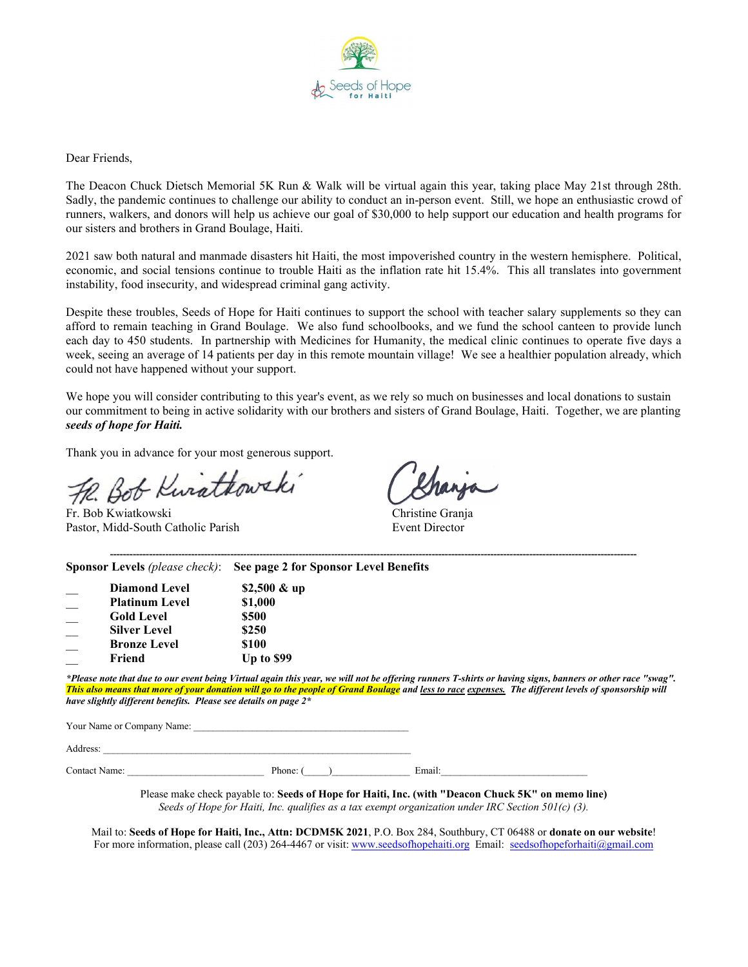

Dear Friends,

The Deacon Chuck Dietsch Memorial 5K Run & Walk will be virtual again this year, taking place May 21st through 28th. Sadly, the pandemic continues to challenge our ability to conduct an in-person event. Still, we hope an enthusiastic crowd of runners, walkers, and donors will help us achieve our goal of \$30,000 to help support our education and health programs for our sisters and brothers in Grand Boulage, Haiti.

2021 saw both natural and manmade disasters hit Haiti, the most impoverished country in the western hemisphere. Political, economic, and social tensions continue to trouble Haiti as the inflation rate hit 15.4%. This all translates into government instability, food insecurity, and widespread criminal gang activity.

Despite these troubles, Seeds of Hope for Haiti continues to support the school with teacher salary supplements so they can afford to remain teaching in Grand Boulage. We also fund schoolbooks, and we fund the school canteen to provide lunch each day to 450 students. In partnership with Medicines for Humanity, the medical clinic continues to operate five days a week, seeing an average of 14 patients per day in this remote mountain village! We see a healthier population already, which could not have happened without your support.

We hope you will consider contributing to this year's event, as we rely so much on businesses and local donations to sustain our commitment to being in active solidarity with our brothers and sisters of Grand Boulage, Haiti. Together, we are planting *seeds of hope for Haiti.* 

Thank you in advance for your most generous support.

The Hold Christian Christian Christian Christian Christian Christian Christian Christian Christian Christian Christian Christian Christian Christian Christian Christian Christian Christian Christian Christian Christian Chr Pastor, Midd-South Catholic Parish Event Director

|                       | Sponsor Levels (please check): See page 2 for Sponsor Level Benefits                                                                                      |
|-----------------------|-----------------------------------------------------------------------------------------------------------------------------------------------------------|
| <b>Diamond Level</b>  | \$2,500 $&$ up                                                                                                                                            |
| <b>Platinum Level</b> | \$1,000                                                                                                                                                   |
| Gold Level            | \$500                                                                                                                                                     |
| <b>Silver Level</b>   | \$250                                                                                                                                                     |
| <b>Bronze Level</b>   | <b>S100</b>                                                                                                                                               |
| Friend                | <b>Up to \$99</b>                                                                                                                                         |
|                       | *Please note that due to our event being Virtual again this year, we will not be offering runners T-shirts or having signs, banners or other race "swag". |
|                       | This also means that more of your donation will go to the people of Grand Boulage and less to race expenses. The different levels of sponsorship will     |

*This also means that more of your donation will go to the people of Grand Boulage and less to race expenses. The different levels of sponsorship will have slightly different benefits. Please see details on page 2\** Your Name or Company Name:

| $\boldsymbol{\lambda}$ |  |  |  |  |
|------------------------|--|--|--|--|
|                        |  |  |  |  |

Contact Name: The example of the Phone: (2002) Email:

Please make check payable to: **Seeds of Hope for Haiti, Inc. (with "Deacon Chuck 5K" on memo line)** *Seeds of Hope for Haiti, Inc. qualifies as a tax exempt organization under IRC Section 501(c) (3).*

Mail to: **Seeds of Hope for Haiti, Inc., Attn: DCDM5K 2021**, P.O. Box 284, Southbury, CT 06488 or **donate on our website**! For more information, please call (203) 264-4467 or visit: [www.seedsofhopehaiti.org](http://www.seedsofhopehaiti.org/) Email: [seedsofhopeforhaiti@gmail.com](mailto:seedsofhopeforhaiti@gmail.com)